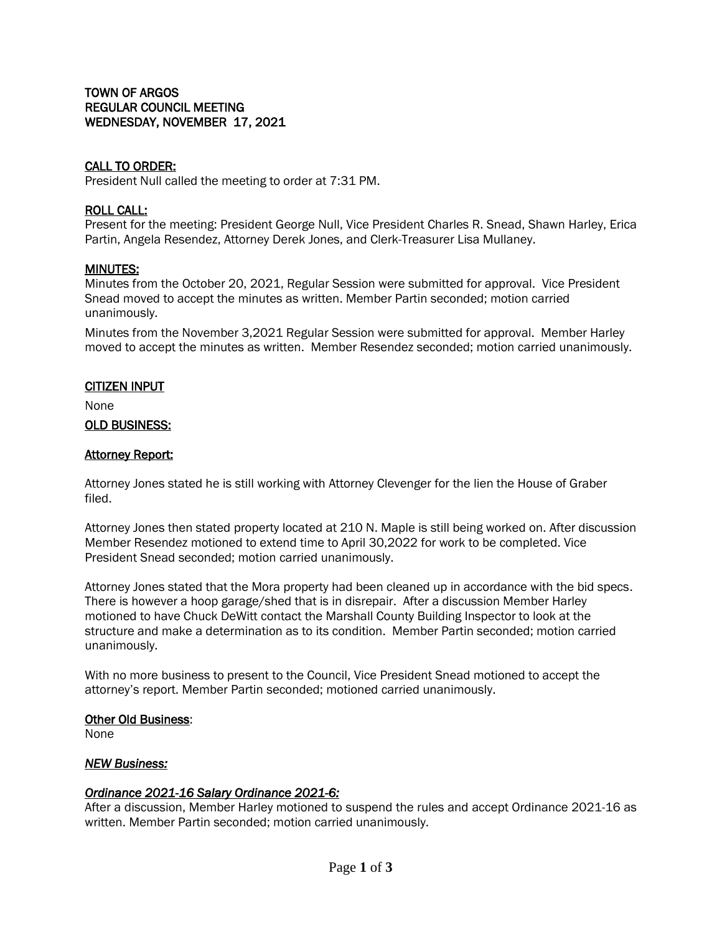# TOWN OF ARGOS REGULAR COUNCIL MEETING WEDNESDAY, NOVEMBER 17, 2021

# CALL TO ORDER:

President Null called the meeting to order at 7:31 PM.

## ROLL CALL:

Present for the meeting: President George Null, Vice President Charles R. Snead, Shawn Harley, Erica Partin, Angela Resendez, Attorney Derek Jones, and Clerk-Treasurer Lisa Mullaney.

#### MINUTES:

Minutes from the October 20, 2021, Regular Session were submitted for approval. Vice President Snead moved to accept the minutes as written. Member Partin seconded; motion carried unanimously.

Minutes from the November 3,2021 Regular Session were submitted for approval. Member Harley moved to accept the minutes as written. Member Resendez seconded; motion carried unanimously.

#### CITIZEN INPUT

None

#### OLD BUSINESS:

## **Attorney Report:**

Attorney Jones stated he is still working with Attorney Clevenger for the lien the House of Graber filed.

Attorney Jones then stated property located at 210 N. Maple is still being worked on. After discussion Member Resendez motioned to extend time to April 30,2022 for work to be completed. Vice President Snead seconded; motion carried unanimously.

Attorney Jones stated that the Mora property had been cleaned up in accordance with the bid specs. There is however a hoop garage/shed that is in disrepair. After a discussion Member Harley motioned to have Chuck DeWitt contact the Marshall County Building Inspector to look at the structure and make a determination as to its condition. Member Partin seconded; motion carried unanimously.

With no more business to present to the Council, Vice President Snead motioned to accept the attorney's report. Member Partin seconded; motioned carried unanimously.

#### Other Old Business:

None

## *NEW Business:*

## *Ordinance 2021-16 Salary Ordinance 2021-6:*

After a discussion, Member Harley motioned to suspend the rules and accept Ordinance 2021-16 as written. Member Partin seconded; motion carried unanimously.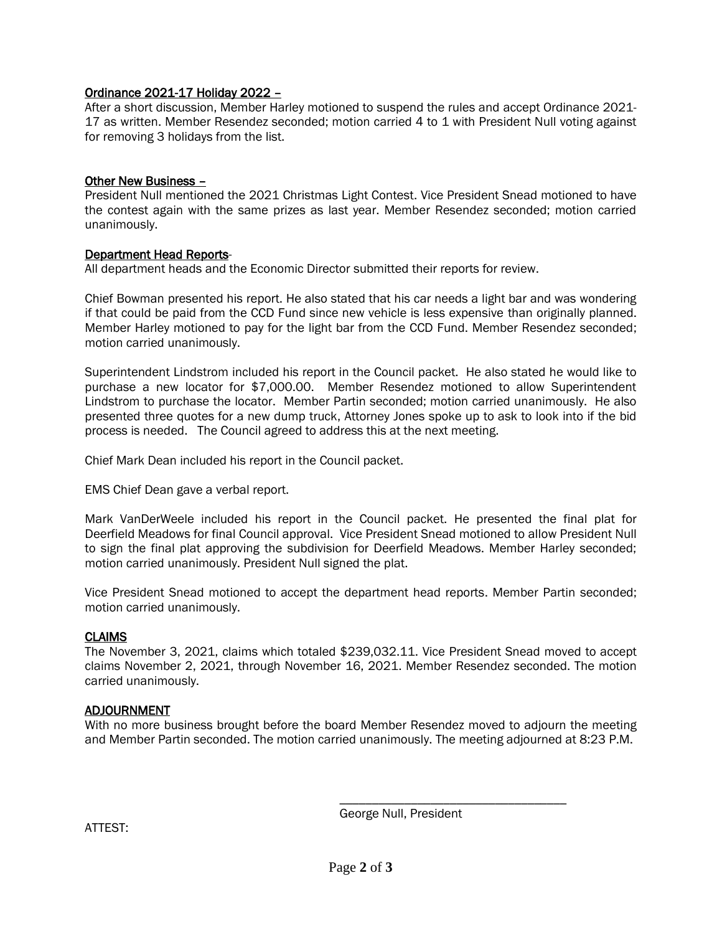# Ordinance 2021-17 Holiday 2022 –

After a short discussion, Member Harley motioned to suspend the rules and accept Ordinance 2021- 17 as written. Member Resendez seconded; motion carried 4 to 1 with President Null voting against for removing 3 holidays from the list.

## Other New Business –

President Null mentioned the 2021 Christmas Light Contest. Vice President Snead motioned to have the contest again with the same prizes as last year. Member Resendez seconded; motion carried unanimously.

#### Department Head Reports-

All department heads and the Economic Director submitted their reports for review.

Chief Bowman presented his report. He also stated that his car needs a light bar and was wondering if that could be paid from the CCD Fund since new vehicle is less expensive than originally planned. Member Harley motioned to pay for the light bar from the CCD Fund. Member Resendez seconded; motion carried unanimously.

Superintendent Lindstrom included his report in the Council packet. He also stated he would like to purchase a new locator for \$7,000.00. Member Resendez motioned to allow Superintendent Lindstrom to purchase the locator. Member Partin seconded; motion carried unanimously. He also presented three quotes for a new dump truck, Attorney Jones spoke up to ask to look into if the bid process is needed. The Council agreed to address this at the next meeting.

Chief Mark Dean included his report in the Council packet.

EMS Chief Dean gave a verbal report.

Mark VanDerWeele included his report in the Council packet. He presented the final plat for Deerfield Meadows for final Council approval. Vice President Snead motioned to allow President Null to sign the final plat approving the subdivision for Deerfield Meadows. Member Harley seconded; motion carried unanimously. President Null signed the plat.

Vice President Snead motioned to accept the department head reports. Member Partin seconded; motion carried unanimously.

## CLAIMS

The November 3, 2021, claims which totaled \$239,032.11. Vice President Snead moved to accept claims November 2, 2021, through November 16, 2021. Member Resendez seconded. The motion carried unanimously.

## ADJOURNMENT

With no more business brought before the board Member Resendez moved to adjourn the meeting and Member Partin seconded. The motion carried unanimously. The meeting adjourned at 8:23 P.M.

George Null, President

\_\_\_\_\_\_\_\_\_\_\_\_\_\_\_\_\_\_\_\_\_\_\_\_\_\_\_\_\_\_\_\_\_\_\_

ATTEST: